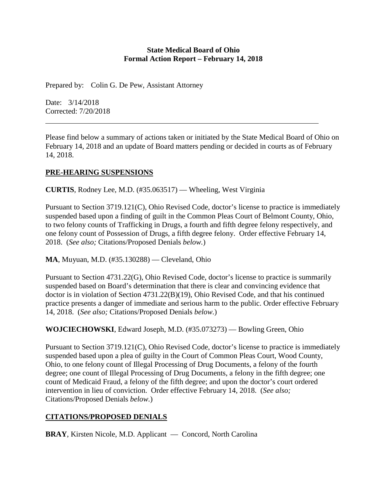#### **State Medical Board of Ohio Formal Action Report – February 14, 2018**

Prepared by: Colin G. De Pew, Assistant Attorney

Date: 3/14/2018 Corrected: 7/20/2018

Please find below a summary of actions taken or initiated by the State Medical Board of Ohio on February 14, 2018 and an update of Board matters pending or decided in courts as of February 14, 2018.

# **PRE-HEARING SUSPENSIONS**

**CURTIS**, Rodney Lee, M.D. (#35.063517) — Wheeling, West Virginia

Pursuant to Section 3719.121(C), Ohio Revised Code, doctor's license to practice is immediately suspended based upon a finding of guilt in the Common Pleas Court of Belmont County, Ohio, to two felony counts of Trafficking in Drugs, a fourth and fifth degree felony respectively, and one felony count of Possession of Drugs, a fifth degree felony. Order effective February 14, 2018. (*See also;* Citations/Proposed Denials *below.*)

**MA**, Muyuan, M.D. (#35.130288) — Cleveland, Ohio

Pursuant to Section 4731.22(G), Ohio Revised Code, doctor's license to practice is summarily suspended based on Board's determination that there is clear and convincing evidence that doctor is in violation of Section 4731.22(B)(19), Ohio Revised Code, and that his continued practice presents a danger of immediate and serious harm to the public. Order effective February 14, 2018. (*See also;* Citations/Proposed Denials *below.*)

**WOJCIECHOWSKI**, Edward Joseph, M.D. (#35.073273) — Bowling Green, Ohio

Pursuant to Section 3719.121(C), Ohio Revised Code, doctor's license to practice is immediately suspended based upon a plea of guilty in the Court of Common Pleas Court, Wood County, Ohio, to one felony count of Illegal Processing of Drug Documents, a felony of the fourth degree; one count of Illegal Processing of Drug Documents, a felony in the fifth degree; one count of Medicaid Fraud, a felony of the fifth degree; and upon the doctor's court ordered intervention in lieu of conviction. Order effective February 14, 2018. (*See also;* Citations/Proposed Denials *below.*)

# **CITATIONS/PROPOSED DENIALS**

**BRAY**, Kirsten Nicole, M.D. Applicant — Concord, North Carolina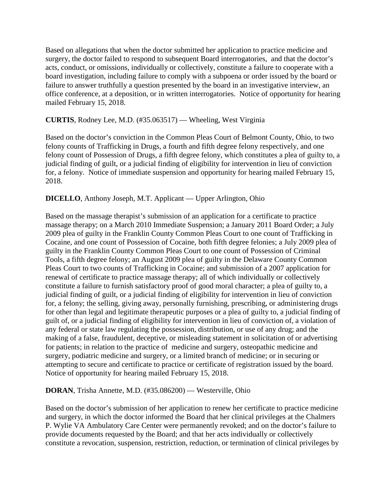Based on allegations that when the doctor submitted her application to practice medicine and surgery, the doctor failed to respond to subsequent Board interrogatories, and that the doctor's acts, conduct, or omissions, individually or collectively, constitute a failure to cooperate with a board investigation, including failure to comply with a subpoena or order issued by the board or failure to answer truthfully a question presented by the board in an investigative interview, an office conference, at a deposition, or in written interrogatories. Notice of opportunity for hearing mailed February 15, 2018.

### **CURTIS**, Rodney Lee, M.D. (#35.063517) — Wheeling, West Virginia

Based on the doctor's conviction in the Common Pleas Court of Belmont County, Ohio, to two felony counts of Trafficking in Drugs, a fourth and fifth degree felony respectively, and one felony count of Possession of Drugs, a fifth degree felony, which constitutes a plea of guilty to, a judicial finding of guilt, or a judicial finding of eligibility for intervention in lieu of conviction for, a felony. Notice of immediate suspension and opportunity for hearing mailed February 15, 2018.

# **DICELLO**, Anthony Joseph, M.T. Applicant — Upper Arlington, Ohio

Based on the massage therapist's submission of an application for a certificate to practice massage therapy; on a March 2010 Immediate Suspension; a January 2011 Board Order; a July 2009 plea of guilty in the Franklin County Common Pleas Court to one count of Trafficking in Cocaine, and one count of Possession of Cocaine, both fifth degree felonies; a July 2009 plea of guilty in the Franklin County Common Pleas Court to one count of Possession of Criminal Tools, a fifth degree felony; an August 2009 plea of guilty in the Delaware County Common Pleas Court to two counts of Trafficking in Cocaine; and submission of a 2007 application for renewal of certificate to practice massage therapy; all of which individually or collectively constitute a failure to furnish satisfactory proof of good moral character; a plea of guilty to, a judicial finding of guilt, or a judicial finding of eligibility for intervention in lieu of conviction for, a felony; the selling, giving away, personally furnishing, prescribing, or administering drugs for other than legal and legitimate therapeutic purposes or a plea of guilty to, a judicial finding of guilt of, or a judicial finding of eligibility for intervention in lieu of conviction of, a violation of any federal or state law regulating the possession, distribution, or use of any drug; and the making of a false, fraudulent, deceptive, or misleading statement in solicitation of or advertising for patients; in relation to the practice of medicine and surgery, osteopathic medicine and surgery, podiatric medicine and surgery, or a limited branch of medicine; or in securing or attempting to secure and certificate to practice or certificate of registration issued by the board. Notice of opportunity for hearing mailed February 15, 2018.

# **DORAN**, Trisha Annette, M.D. (#35.086200) — Westerville, Ohio

Based on the doctor's submission of her application to renew her certificate to practice medicine and surgery, in which the doctor informed the Board that her clinical privileges at the Chalmers P. Wylie VA Ambulatory Care Center were permanently revoked; and on the doctor's failure to provide documents requested by the Board; and that her acts individually or collectively constitute a revocation, suspension, restriction, reduction, or termination of clinical privileges by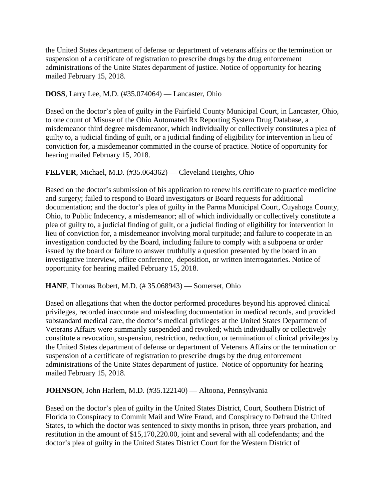the United States department of defense or department of veterans affairs or the termination or suspension of a certificate of registration to prescribe drugs by the drug enforcement administrations of the Unite States department of justice. Notice of opportunity for hearing mailed February 15, 2018.

**DOSS**, Larry Lee, M.D. (#35.074064) — Lancaster, Ohio

Based on the doctor's plea of guilty in the Fairfield County Municipal Court, in Lancaster, Ohio, to one count of Misuse of the Ohio Automated Rx Reporting System Drug Database, a misdemeanor third degree misdemeanor, which individually or collectively constitutes a plea of guilty to, a judicial finding of guilt, or a judicial finding of eligibility for intervention in lieu of conviction for, a misdemeanor committed in the course of practice. Notice of opportunity for hearing mailed February 15, 2018.

# **FELVER**, Michael, M.D. (#35.064362) — Cleveland Heights, Ohio

Based on the doctor's submission of his application to renew his certificate to practice medicine and surgery; failed to respond to Board investigators or Board requests for additional documentation; and the doctor's plea of guilty in the Parma Municipal Court, Cuyahoga County, Ohio, to Public Indecency, a misdemeanor; all of which individually or collectively constitute a plea of guilty to, a judicial finding of guilt, or a judicial finding of eligibility for intervention in lieu of conviction for, a misdemeanor involving moral turpitude; and failure to cooperate in an investigation conducted by the Board, including failure to comply with a subpoena or order issued by the board or failure to answer truthfully a question presented by the board in an investigative interview, office conference, deposition, or written interrogatories. Notice of opportunity for hearing mailed February 15, 2018.

#### **HANF**, Thomas Robert, M.D. (# 35.068943) — Somerset, Ohio

Based on allegations that when the doctor performed procedures beyond his approved clinical privileges, recorded inaccurate and misleading documentation in medical records, and provided substandard medical care, the doctor's medical privileges at the United States Department of Veterans Affairs were summarily suspended and revoked; which individually or collectively constitute a revocation, suspension, restriction, reduction, or termination of clinical privileges by the United States department of defense or department of Veterans Affairs or the termination or suspension of a certificate of registration to prescribe drugs by the drug enforcement administrations of the Unite States department of justice. Notice of opportunity for hearing mailed February 15, 2018.

**JOHNSON**, John Harlem, M.D. (#35.122140) — Altoona, Pennsylvania

Based on the doctor's plea of guilty in the United States District, Court, Southern District of Florida to Conspiracy to Commit Mail and Wire Fraud, and Conspiracy to Defraud the United States, to which the doctor was sentenced to sixty months in prison, three years probation, and restitution in the amount of \$15,170,220.00, joint and several with all codefendants; and the doctor's plea of guilty in the United States District Court for the Western District of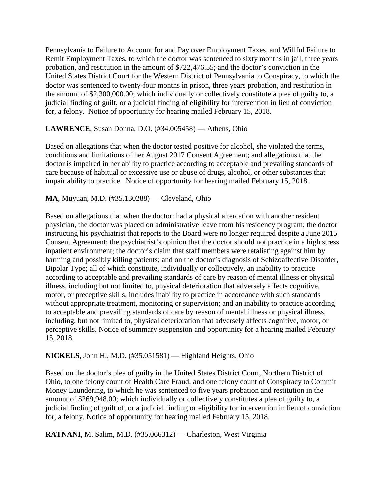Pennsylvania to Failure to Account for and Pay over Employment Taxes, and Willful Failure to Remit Employment Taxes, to which the doctor was sentenced to sixty months in jail, three years probation, and restitution in the amount of \$722,476.55; and the doctor's conviction in the United States District Court for the Western District of Pennsylvania to Conspiracy, to which the doctor was sentenced to twenty-four months in prison, three years probation, and restitution in the amount of \$2,300,000.00; which individually or collectively constitute a plea of guilty to, a judicial finding of guilt, or a judicial finding of eligibility for intervention in lieu of conviction for, a felony. Notice of opportunity for hearing mailed February 15, 2018.

# **LAWRENCE**, Susan Donna, D.O. (#34.005458) — Athens, Ohio

Based on allegations that when the doctor tested positive for alcohol, she violated the terms, conditions and limitations of her August 2017 Consent Agreement; and allegations that the doctor is impaired in her ability to practice according to acceptable and prevailing standards of care because of habitual or excessive use or abuse of drugs, alcohol, or other substances that impair ability to practice. Notice of opportunity for hearing mailed February 15, 2018.

# **MA**, Muyuan, M.D. (#35.130288) — Cleveland, Ohio

Based on allegations that when the doctor: had a physical altercation with another resident physician, the doctor was placed on administrative leave from his residency program; the doctor instructing his psychiatrist that reports to the Board were no longer required despite a June 2015 Consent Agreement; the psychiatrist's opinion that the doctor should not practice in a high stress inpatient environment; the doctor's claim that staff members were retaliating against him by harming and possibly killing patients; and on the doctor's diagnosis of Schizoaffective Disorder, Bipolar Type; all of which constitute, individually or collectively, an inability to practice according to acceptable and prevailing standards of care by reason of mental illness or physical illness, including but not limited to, physical deterioration that adversely affects cognitive, motor, or preceptive skills, includes inability to practice in accordance with such standards without appropriate treatment, monitoring or supervision; and an inability to practice according to acceptable and prevailing standards of care by reason of mental illness or physical illness, including, but not limited to, physical deterioration that adversely affects cognitive, motor, or perceptive skills. Notice of summary suspension and opportunity for a hearing mailed February 15, 2018.

# **NICKELS**, John H., M.D. (#35.051581) — Highland Heights, Ohio

Based on the doctor's plea of guilty in the United States District Court, Northern District of Ohio, to one felony count of Health Care Fraud, and one felony count of Conspiracy to Commit Money Laundering, to which he was sentenced to five years probation and restitution in the amount of \$269,948.00; which individually or collectively constitutes a plea of guilty to, a judicial finding of guilt of, or a judicial finding or eligibility for intervention in lieu of conviction for, a felony. Notice of opportunity for hearing mailed February 15, 2018.

**RATNANI**, M. Salim, M.D. (#35.066312) — Charleston, West Virginia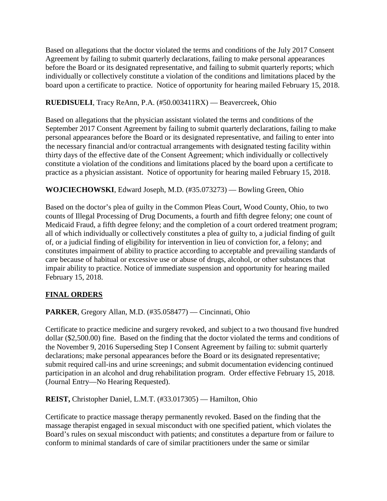Based on allegations that the doctor violated the terms and conditions of the July 2017 Consent Agreement by failing to submit quarterly declarations, failing to make personal appearances before the Board or its designated representative, and failing to submit quarterly reports; which individually or collectively constitute a violation of the conditions and limitations placed by the board upon a certificate to practice. Notice of opportunity for hearing mailed February 15, 2018.

# **RUEDISUELI**, Tracy ReAnn, P.A. (#50.003411RX) — Beavercreek, Ohio

Based on allegations that the physician assistant violated the terms and conditions of the September 2017 Consent Agreement by failing to submit quarterly declarations, failing to make personal appearances before the Board or its designated representative, and failing to enter into the necessary financial and/or contractual arrangements with designated testing facility within thirty days of the effective date of the Consent Agreement; which individually or collectively constitute a violation of the conditions and limitations placed by the board upon a certificate to practice as a physician assistant. Notice of opportunity for hearing mailed February 15, 2018.

# **WOJCIECHOWSKI**, Edward Joseph, M.D. (#35.073273) — Bowling Green, Ohio

Based on the doctor's plea of guilty in the Common Pleas Court, Wood County, Ohio, to two counts of Illegal Processing of Drug Documents, a fourth and fifth degree felony; one count of Medicaid Fraud, a fifth degree felony; and the completion of a court ordered treatment program; all of which individually or collectively constitutes a plea of guilty to, a judicial finding of guilt of, or a judicial finding of eligibility for intervention in lieu of conviction for, a felony; and constitutes impairment of ability to practice according to acceptable and prevailing standards of care because of habitual or excessive use or abuse of drugs, alcohol, or other substances that impair ability to practice. Notice of immediate suspension and opportunity for hearing mailed February 15, 2018.

# **FINAL ORDERS**

**PARKER**, Gregory Allan, M.D. (#35.058477) — Cincinnati, Ohio

Certificate to practice medicine and surgery revoked, and subject to a two thousand five hundred dollar (\$2,500.00) fine. Based on the finding that the doctor violated the terms and conditions of the November 9, 2016 Superseding Step I Consent Agreement by failing to: submit quarterly declarations; make personal appearances before the Board or its designated representative; submit required call-ins and urine screenings; and submit documentation evidencing continued participation in an alcohol and drug rehabilitation program. Order effective February 15, 2018. (Journal Entry—No Hearing Requested).

**REIST,** Christopher Daniel, L.M.T. (#33.017305) — Hamilton, Ohio

Certificate to practice massage therapy permanently revoked. Based on the finding that the massage therapist engaged in sexual misconduct with one specified patient, which violates the Board's rules on sexual misconduct with patients; and constitutes a departure from or failure to conform to minimal standards of care of similar practitioners under the same or similar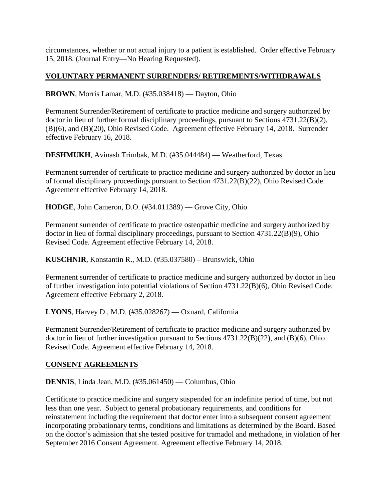circumstances, whether or not actual injury to a patient is established. Order effective February 15, 2018. (Journal Entry—No Hearing Requested).

### **VOLUNTARY PERMANENT SURRENDERS/ RETIREMENTS/WITHDRAWALS**

**BROWN**, Morris Lamar, M.D. (#35.038418) — Dayton, Ohio

Permanent Surrender/Retirement of certificate to practice medicine and surgery authorized by doctor in lieu of further formal disciplinary proceedings, pursuant to Sections 4731.22(B)(2), (B)(6), and (B)(20), Ohio Revised Code. Agreement effective February 14, 2018. Surrender effective February 16, 2018.

**DESHMUKH**, Avinash Trimbak, M.D. (#35.044484) — Weatherford, Texas

Permanent surrender of certificate to practice medicine and surgery authorized by doctor in lieu of formal disciplinary proceedings pursuant to Section 4731.22(B)(22), Ohio Revised Code. Agreement effective February 14, 2018.

**HODGE**, John Cameron, D.O. (#34.011389) — Grove City, Ohio

Permanent surrender of certificate to practice osteopathic medicine and surgery authorized by doctor in lieu of formal disciplinary proceedings, pursuant to Section 4731.22(B)(9), Ohio Revised Code. Agreement effective February 14, 2018.

**KUSCHNIR**, Konstantin R., M.D. (#35.037580) – Brunswick, Ohio

Permanent surrender of certificate to practice medicine and surgery authorized by doctor in lieu of further investigation into potential violations of Section 4731.22(B)(6), Ohio Revised Code. Agreement effective February 2, 2018.

**LYONS**, Harvey D., M.D. (#35.028267) — Oxnard, California

Permanent Surrender/Retirement of certificate to practice medicine and surgery authorized by doctor in lieu of further investigation pursuant to Sections 4731.22(B)(22), and (B)(6), Ohio Revised Code. Agreement effective February 14, 2018.

#### **CONSENT AGREEMENTS**

**DENNIS**, Linda Jean, M.D. (#35.061450) — Columbus, Ohio

Certificate to practice medicine and surgery suspended for an indefinite period of time, but not less than one year. Subject to general probationary requirements, and conditions for reinstatement including the requirement that doctor enter into a subsequent consent agreement incorporating probationary terms, conditions and limitations as determined by the Board. Based on the doctor's admission that she tested positive for tramadol and methadone, in violation of her September 2016 Consent Agreement. Agreement effective February 14, 2018.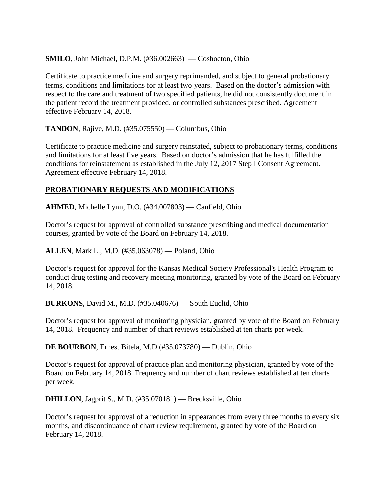**SMILO**, John Michael, D.P.M. (#36.002663) — Coshocton, Ohio

Certificate to practice medicine and surgery reprimanded, and subject to general probationary terms, conditions and limitations for at least two years. Based on the doctor's admission with respect to the care and treatment of two specified patients, he did not consistently document in the patient record the treatment provided, or controlled substances prescribed. Agreement effective February 14, 2018.

**TANDON**, Rajive, M.D. (#35.075550) — Columbus, Ohio

Certificate to practice medicine and surgery reinstated, subject to probationary terms, conditions and limitations for at least five years. Based on doctor's admission that he has fulfilled the conditions for reinstatement as established in the July 12, 2017 Step I Consent Agreement. Agreement effective February 14, 2018.

# **PROBATIONARY REQUESTS AND MODIFICATIONS**

**AHMED**, Michelle Lynn, D.O. (#34.007803) — Canfield, Ohio

Doctor's request for approval of controlled substance prescribing and medical documentation courses, granted by vote of the Board on February 14, 2018.

**ALLEN**, Mark L., M.D. (#35.063078) — Poland, Ohio

Doctor's request for approval for the Kansas Medical Society Professional's Health Program to conduct drug testing and recovery meeting monitoring, granted by vote of the Board on February 14, 2018.

**BURKONS**, David M., M.D. (#35.040676) — South Euclid, Ohio

Doctor's request for approval of monitoring physician, granted by vote of the Board on February 14, 2018. Frequency and number of chart reviews established at ten charts per week.

**DE BOURBON**, Ernest Bitela, M.D.(#35.073780) — Dublin, Ohio

Doctor's request for approval of practice plan and monitoring physician, granted by vote of the Board on February 14, 2018. Frequency and number of chart reviews established at ten charts per week.

**DHILLON**, Jagprit S., M.D. (#35.070181) — Brecksville, Ohio

Doctor's request for approval of a reduction in appearances from every three months to every six months, and discontinuance of chart review requirement, granted by vote of the Board on February 14, 2018.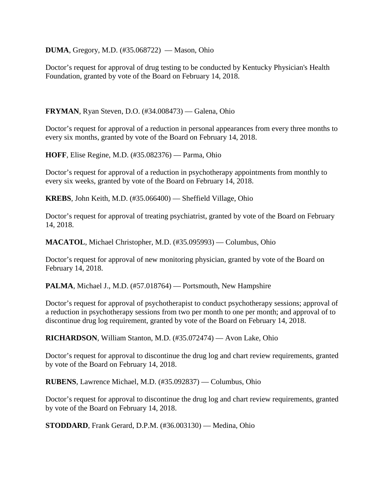**DUMA**, Gregory, M.D. (#35.068722) — Mason, Ohio

Doctor's request for approval of drug testing to be conducted by Kentucky Physician's Health Foundation, granted by vote of the Board on February 14, 2018.

**FRYMAN**, Ryan Steven, D.O. (#34.008473) — Galena, Ohio

Doctor's request for approval of a reduction in personal appearances from every three months to every six months, granted by vote of the Board on February 14, 2018.

**HOFF**, Elise Regine, M.D. (#35.082376) — Parma, Ohio

Doctor's request for approval of a reduction in psychotherapy appointments from monthly to every six weeks, granted by vote of the Board on February 14, 2018.

**KREBS**, John Keith, M.D. (#35.066400) — Sheffield Village, Ohio

Doctor's request for approval of treating psychiatrist, granted by vote of the Board on February 14, 2018.

**MACATOL**, Michael Christopher, M.D. (#35.095993) — Columbus, Ohio

Doctor's request for approval of new monitoring physician, granted by vote of the Board on February 14, 2018.

**PALMA**, Michael J., M.D. (#57.018764) — Portsmouth, New Hampshire

Doctor's request for approval of psychotherapist to conduct psychotherapy sessions; approval of a reduction in psychotherapy sessions from two per month to one per month; and approval of to discontinue drug log requirement, granted by vote of the Board on February 14, 2018.

**RICHARDSON**, William Stanton, M.D. (#35.072474) — Avon Lake, Ohio

Doctor's request for approval to discontinue the drug log and chart review requirements, granted by vote of the Board on February 14, 2018.

**RUBENS**, Lawrence Michael, M.D. (#35.092837) — Columbus, Ohio

Doctor's request for approval to discontinue the drug log and chart review requirements, granted by vote of the Board on February 14, 2018.

**STODDARD**, Frank Gerard, D.P.M. (#36.003130) — Medina, Ohio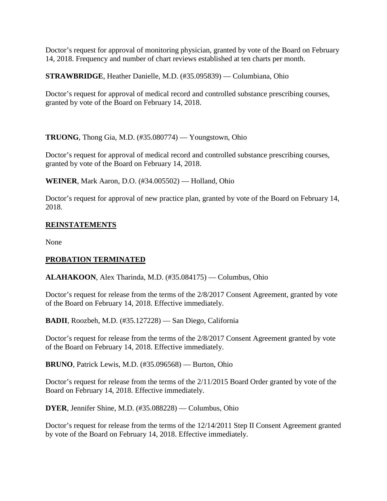Doctor's request for approval of monitoring physician, granted by vote of the Board on February 14, 2018. Frequency and number of chart reviews established at ten charts per month.

**STRAWBRIDGE**, Heather Danielle, M.D. (#35.095839) — Columbiana, Ohio

Doctor's request for approval of medical record and controlled substance prescribing courses, granted by vote of the Board on February 14, 2018.

**TRUONG**, Thong Gia, M.D. (#35.080774) — Youngstown, Ohio

Doctor's request for approval of medical record and controlled substance prescribing courses, granted by vote of the Board on February 14, 2018.

**WEINER**, Mark Aaron, D.O. (#34.005502) — Holland, Ohio

Doctor's request for approval of new practice plan, granted by vote of the Board on February 14, 2018.

# **REINSTATEMENTS**

None

# **PROBATION TERMINATED**

**ALAHAKOON**, Alex Tharinda, M.D. (#35.084175) — Columbus, Ohio

Doctor's request for release from the terms of the 2/8/2017 Consent Agreement, granted by vote of the Board on February 14, 2018. Effective immediately.

**BADII**, Roozbeh, M.D. (#35.127228) — San Diego, California

Doctor's request for release from the terms of the 2/8/2017 Consent Agreement granted by vote of the Board on February 14, 2018. Effective immediately.

**BRUNO**, Patrick Lewis, M.D. (#35.096568) — Burton, Ohio

Doctor's request for release from the terms of the 2/11/2015 Board Order granted by vote of the Board on February 14, 2018. Effective immediately.

**DYER**, Jennifer Shine, M.D. (#35.088228) — Columbus, Ohio

Doctor's request for release from the terms of the 12/14/2011 Step II Consent Agreement granted by vote of the Board on February 14, 2018. Effective immediately.